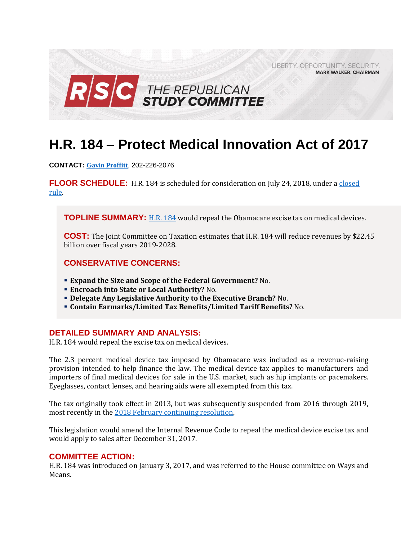

# **H.R. 184 – Protect Medical Innovation Act of 2017**

**CONTACT: [Gavin Proffitt](mailto:Gavin.Proffitt@mail.house.gov)**, 202-226-2076

**FLOOR SCHEDULE:** H.R. 184 is scheduled for consideration on July 24, 2018, under a [closed](https://rules.house.gov/sites/republicans.rules.house.gov/files/Rule_HR148HR6311.pdf)  [rule.](https://rules.house.gov/sites/republicans.rules.house.gov/files/Rule_HR148HR6311.pdf)

**TOPLINE SUMMARY:** [H.R. 184](https://www.gpo.gov/fdsys/pkg/BILLS-115hr184ih/pdf/BILLS-115hr184ih.pdf) would repeal the Obamacare excise tax on medical devices.

**COST:** The Joint Committee on Taxation estimates that H.R. 184 will reduce revenues by \$22.45 billion over fiscal years 2019-2028.

### **CONSERVATIVE CONCERNS:**

- **Expand the Size and Scope of the Federal Government?** No.
- **Encroach into State or Local Authority?** No.
- **Delegate Any Legislative Authority to the Executive Branch?** No.
- **Contain Earmarks/Limited Tax Benefits/Limited Tariff Benefits?** No.

#### **DETAILED SUMMARY AND ANALYSIS:**

H.R. 184 would repeal the excise tax on medical devices.

The 2.3 percent medical device tax imposed by Obamacare was included as a revenue-raising provision intended to help finance the law. The medical device tax applies to manufacturers and importers of final medical devices for sale in the U.S. market, such as hip implants or pacemakers. Eyeglasses, contact lenses, and hearing aids were all exempted from this tax.

The tax originally took effect in 2013, but was subsequently suspended from 2016 through 2019, most recently in the [2018 February continuing resolution.](https://www.congress.gov/115/bills/hr195/BILLS-115hr195enr.pdf)

This legislation would amend the Internal Revenue Code to repeal the medical device excise tax and would apply to sales after December 31, 2017.

#### **COMMITTEE ACTION:**

H.R. 184 was introduced on January 3, 2017, and was referred to the House committee on Ways and Means.